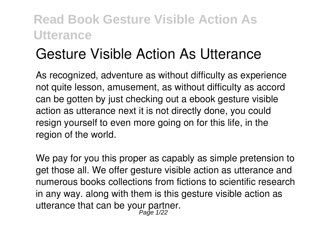# **Gesture Visible Action As Utterance**

As recognized, adventure as without difficulty as experience not quite lesson, amusement, as without difficulty as accord can be gotten by just checking out a ebook **gesture visible action as utterance** next it is not directly done, you could resign yourself to even more going on for this life, in the region of the world.

We pay for you this proper as capably as simple pretension to get those all. We offer gesture visible action as utterance and numerous books collections from fictions to scientific research in any way. along with them is this gesture visible action as utterance that can be your partner.<br>Page 1/22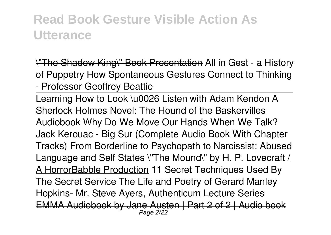\"The Shadow King\" Book Presentation **All in Gest - a History of Puppetry How Spontaneous Gestures Connect to Thinking - Professor Geoffrey Beattie**

Learning How to Look \u0026 Listen with Adam Kendon A Sherlock Holmes Novel: The Hound of the Baskervilles Audiobook Why Do We Move Our Hands When We Talk? Jack Kerouac - Big Sur (Complete Audio Book With Chapter Tracks) From Borderline to Psychopath to Narcissist: Abused Language and Self States \"The Mound\" by H. P. Lovecraft / A HorrorBabble Production **11 Secret Techniques Used By The Secret Service** The Life and Poetry of Gerard Manley Hopkins- Mr. Steve Ayers, Authenticum Lecture Series EMMA Audiobook by Jane Austen | Part 2 of 2 | Audio book Page 2/22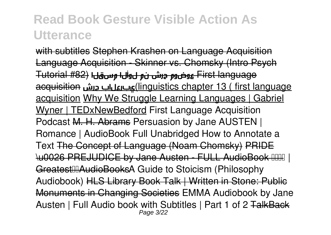with subtitles Stephen Krashen on Language Acquisition Language Acquisition - Skinner vs. Chomsky (Intro Psych language First عوضوم حرش نم لوألا مسقلا (#82 Tutorial acquisition حرش يبرعلاب)linguistics chapter 13 ( first language acquisition Why We Struggle Learning Languages | Gabriel Wyner | TEDxNewBedford *First Language Acquisition Podcast* M. H. Abrams **Persuasion by Jane AUSTEN | Romance | AudioBook Full Unabridged** *How to Annotate a Text* The Concept of Language (Noam Chomsky) PRIDE \u0026 PREJUDICE by Jane Austen - FULL AudioBook | GreatestAudioBooks*A Guide to Stoicism (Philosophy Audiobook)* HLS Library Book Talk | Written in Stone: Public Monuments in Changing Societies EMMA Audiobook by Jane Austen | Full Audio book with Subtitles | Part 1 of 2 TalkBack Page 3/22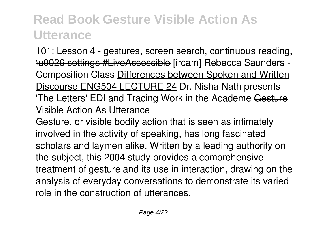101: Lesson 4 - gestures, screen search, continuous reading, \u0026 settings #LiveAccessible [ircam] Rebecca Saunders - Composition Class Differences between Spoken and Written Discourse ENG504 LECTURE 24 *Dr. Nisha Nath presents 'The Letters' EDI and Tracing Work in the Academe* Gesture Visible Action As Utterance

Gesture, or visible bodily action that is seen as intimately involved in the activity of speaking, has long fascinated scholars and laymen alike. Written by a leading authority on the subject, this 2004 study provides a comprehensive treatment of gesture and its use in interaction, drawing on the analysis of everyday conversations to demonstrate its varied role in the construction of utterances.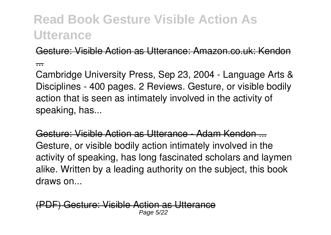Gesture: Visible Action as Utterance: Amazon.co.uk: Kendon

...

Cambridge University Press, Sep 23, 2004 - Language Arts & Disciplines - 400 pages. 2 Reviews. Gesture, or visible bodily action that is seen as intimately involved in the activity of speaking, has...

Gesture: Visible Action as Utterance - Adam Kendon ... Gesture, or visible bodily action intimately involved in the activity of speaking, has long fascinated scholars and laymen alike. Written by a leading authority on the subject, this book draws on...

(PDF) Gesture: Visible Action as Utterance Page 5/22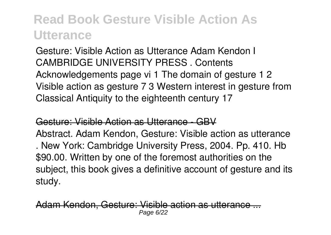Gesture: Visible Action as Utterance Adam Kendon I CAMBRIDGE UNIVERSITY PRESS . Contents Acknowledgements page vi 1 The domain of gesture 1 2 Visible action as gesture 7 3 Western interest in gesture from Classical Antiquity to the eighteenth century 17

#### Gesture: Visible Action as Utterance - GBV

Abstract. Adam Kendon, Gesture: Visible action as utterance . New York: Cambridge University Press, 2004. Pp. 410. Hb \$90.00. Written by one of the foremost authorities on the subject, this book gives a definitive account of gesture and its study.

dam Kendon, Gesture: Visible action as uttera Page 6/22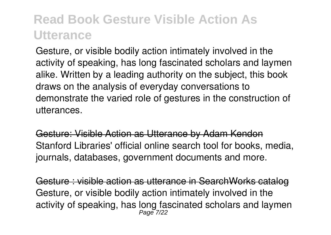Gesture, or visible bodily action intimately involved in the activity of speaking, has long fascinated scholars and laymen alike. Written by a leading authority on the subject, this book draws on the analysis of everyday conversations to demonstrate the varied role of gestures in the construction of utterances.

Gesture: Visible Action as Utterance by Adam Kendon Stanford Libraries' official online search tool for books, media, journals, databases, government documents and more.

Gesture : visible action as utterance in SearchWorks catalog Gesture, or visible bodily action intimately involved in the activity of speaking, has long fascinated scholars and laymen Page 7/22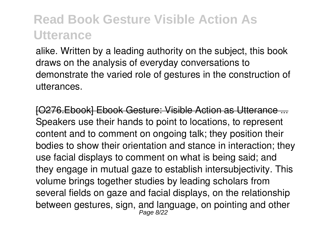alike. Written by a leading authority on the subject, this book draws on the analysis of everyday conversations to demonstrate the varied role of gestures in the construction of utterances.

**[O276 Ebook] Ebook Gesture: Visible Action as Utterance** Speakers use their hands to point to locations, to represent content and to comment on ongoing talk; they position their bodies to show their orientation and stance in interaction; they use facial displays to comment on what is being said; and they engage in mutual gaze to establish intersubjectivity. This volume brings together studies by leading scholars from several fields on gaze and facial displays, on the relationship between gestures, sign, and language, on pointing and other Page 8/22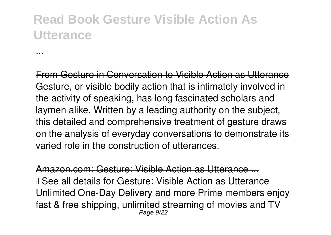...

From Gesture in Conversation to Visible Action as Utterance Gesture, or visible bodily action that is intimately involved in the activity of speaking, has long fascinated scholars and laymen alike. Written by a leading authority on the subject, this detailed and comprehensive treatment of gesture draws on the analysis of everyday conversations to demonstrate its varied role in the construction of utterances.

zon.com: Gesture: Visible Action as Utterance I See all details for Gesture: Visible Action as Utterance Unlimited One-Day Delivery and more Prime members enjoy fast & free shipping, unlimited streaming of movies and TV Page 9/22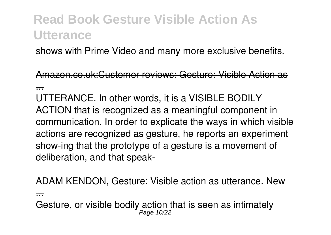shows with Prime Video and many more exclusive benefits.

Amazon.co.uk:Customer reviews: Gesture: Visible Action as

...

UTTERANCE. In other words, it is a VISIBLE BODILY ACTION that is recognized as a meaningful component in communication. In order to explicate the ways in which visible actions are recognized as gesture, he reports an experiment show-ing that the prototype of a gesture is a movement of deliberation, and that speak-

ADAM KENDON, Gesture: Visible action as utterance. New

...

Gesture, or visible bodily action that is seen as intimately Page 10/22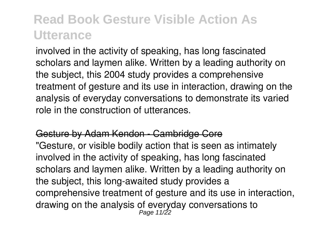involved in the activity of speaking, has long fascinated scholars and laymen alike. Written by a leading authority on the subject, this 2004 study provides a comprehensive treatment of gesture and its use in interaction, drawing on the analysis of everyday conversations to demonstrate its varied role in the construction of utterances.

#### Gesture by Adam Kendon - Cambridge Core

"Gesture, or visible bodily action that is seen as intimately involved in the activity of speaking, has long fascinated scholars and laymen alike. Written by a leading authority on the subject, this long-awaited study provides a comprehensive treatment of gesture and its use in interaction, drawing on the analysis of everyday conversations to Page 11/22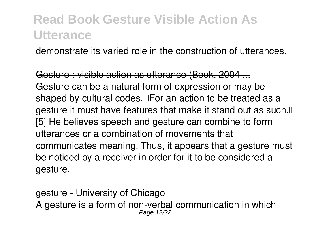demonstrate its varied role in the construction of utterances.

Gesture : visible action as utterance (Book, 2004 ... Gesture can be a natural form of expression or may be shaped by cultural codes. **IFor an action to be treated as a** gesture it must have features that make it stand out as such. [5] He believes speech and gesture can combine to form utterances or a combination of movements that communicates meaning. Thus, it appears that a gesture must be noticed by a receiver in order for it to be considered a gesture.

gesture - University of Chicago A gesture is a form of non-verbal communication in which Page 12/22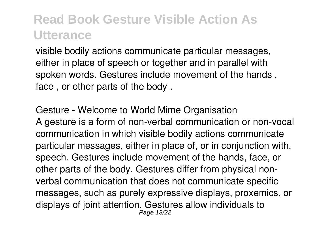visible bodily actions communicate particular messages, either in place of speech or together and in parallel with spoken words. Gestures include movement of the hands , face , or other parts of the body .

#### Gesture - Welcome to World Mime Organisation

A gesture is a form of non-verbal communication or non-vocal communication in which visible bodily actions communicate particular messages, either in place of, or in conjunction with, speech. Gestures include movement of the hands, face, or other parts of the body. Gestures differ from physical nonverbal communication that does not communicate specific messages, such as purely expressive displays, proxemics, or displays of joint attention. Gestures allow individuals to Page 13/22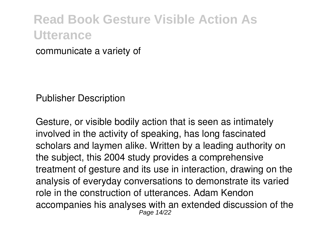communicate a variety of

Publisher Description

Gesture, or visible bodily action that is seen as intimately involved in the activity of speaking, has long fascinated scholars and laymen alike. Written by a leading authority on the subject, this 2004 study provides a comprehensive treatment of gesture and its use in interaction, drawing on the analysis of everyday conversations to demonstrate its varied role in the construction of utterances. Adam Kendon accompanies his analyses with an extended discussion of the Page 14/22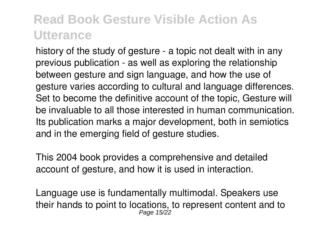history of the study of gesture - a topic not dealt with in any previous publication - as well as exploring the relationship between gesture and sign language, and how the use of gesture varies according to cultural and language differences. Set to become the definitive account of the topic, Gesture will be invaluable to all those interested in human communication. Its publication marks a major development, both in semiotics and in the emerging field of gesture studies.

This 2004 book provides a comprehensive and detailed account of gesture, and how it is used in interaction.

Language use is fundamentally multimodal. Speakers use their hands to point to locations, to represent content and to Page 15/22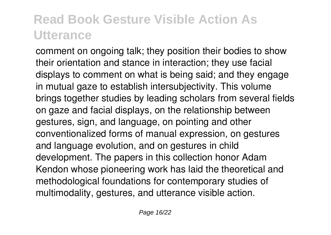comment on ongoing talk; they position their bodies to show their orientation and stance in interaction; they use facial displays to comment on what is being said; and they engage in mutual gaze to establish intersubjectivity. This volume brings together studies by leading scholars from several fields on gaze and facial displays, on the relationship between gestures, sign, and language, on pointing and other conventionalized forms of manual expression, on gestures and language evolution, and on gestures in child development. The papers in this collection honor Adam Kendon whose pioneering work has laid the theoretical and methodological foundations for contemporary studies of multimodality, gestures, and utterance visible action.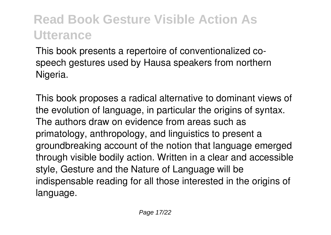This book presents a repertoire of conventionalized cospeech gestures used by Hausa speakers from northern Nigeria.

This book proposes a radical alternative to dominant views of the evolution of language, in particular the origins of syntax. The authors draw on evidence from areas such as primatology, anthropology, and linguistics to present a groundbreaking account of the notion that language emerged through visible bodily action. Written in a clear and accessible style, Gesture and the Nature of Language will be indispensable reading for all those interested in the origins of language.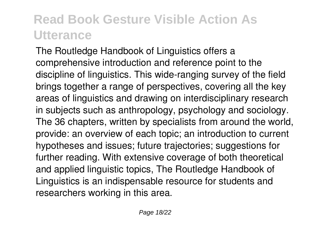The Routledge Handbook of Linguistics offers a comprehensive introduction and reference point to the discipline of linguistics. This wide-ranging survey of the field brings together a range of perspectives, covering all the key areas of linguistics and drawing on interdisciplinary research in subjects such as anthropology, psychology and sociology. The 36 chapters, written by specialists from around the world, provide: an overview of each topic; an introduction to current hypotheses and issues; future trajectories; suggestions for further reading. With extensive coverage of both theoretical and applied linguistic topics, The Routledge Handbook of Linguistics is an indispensable resource for students and researchers working in this area.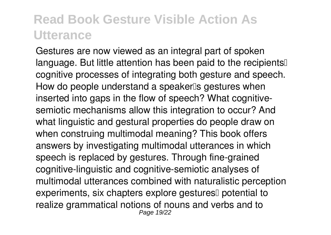Gestures are now viewed as an integral part of spoken language. But little attention has been paid to the recipients<sup>[]</sup> cognitive processes of integrating both gesture and speech. How do people understand a speaker<sup>®</sup>s gestures when inserted into gaps in the flow of speech? What cognitivesemiotic mechanisms allow this integration to occur? And what linguistic and gestural properties do people draw on when construing multimodal meaning? This book offers answers by investigating multimodal utterances in which speech is replaced by gestures. Through fine-grained cognitive-linguistic and cognitive-semiotic analyses of multimodal utterances combined with naturalistic perception experiments, six chapters explore gestures<sup>[]</sup> potential to realize grammatical notions of nouns and verbs and to Page 19/22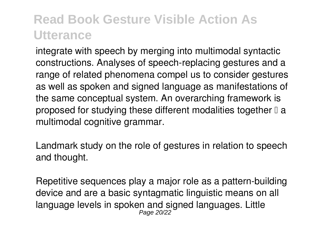integrate with speech by merging into multimodal syntactic constructions. Analyses of speech-replacing gestures and a range of related phenomena compel us to consider gestures as well as spoken and signed language as manifestations of the same conceptual system. An overarching framework is proposed for studying these different modalities together  $\mathbb I$  a multimodal cognitive grammar.

Landmark study on the role of gestures in relation to speech and thought.

Repetitive sequences play a major role as a pattern-building device and are a basic syntagmatic linguistic means on all language levels in spoken and signed languages. Little Page 20/22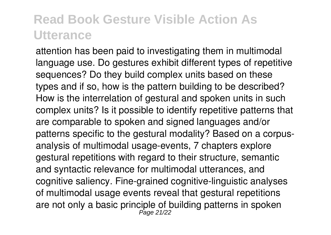attention has been paid to investigating them in multimodal language use. Do gestures exhibit different types of repetitive sequences? Do they build complex units based on these types and if so, how is the pattern building to be described? How is the interrelation of gestural and spoken units in such complex units? Is it possible to identify repetitive patterns that are comparable to spoken and signed languages and/or patterns specific to the gestural modality? Based on a corpusanalysis of multimodal usage-events, 7 chapters explore gestural repetitions with regard to their structure, semantic and syntactic relevance for multimodal utterances, and cognitive saliency. Fine-grained cognitive-linguistic analyses of multimodal usage events reveal that gestural repetitions are not only a basic principle of building patterns in spoken Page 21/22